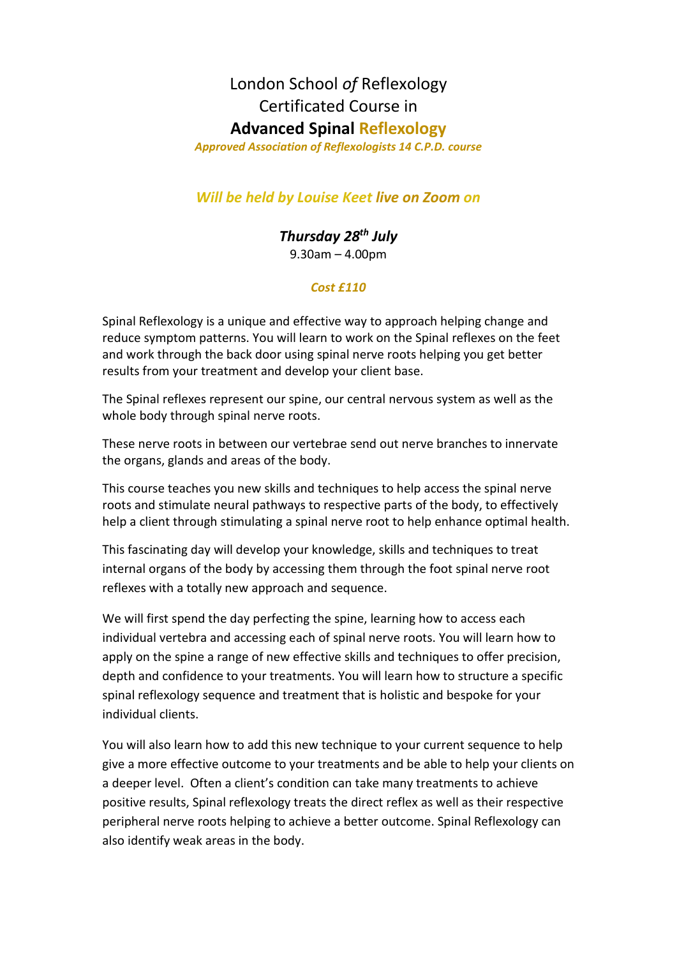## London School *of* Reflexology Certificated Course in **Advanced Spinal Reflexology**

*Approved Association of Reflexologists 14 C.P.D. course*

## *Will be held by Louise Keet live on Zoom on*

*Thursday 28th July* 9.30am – 4.00pm

## *Cost £110*

Spinal Reflexology is a unique and effective way to approach helping change and reduce symptom patterns. You will learn to work on the Spinal reflexes on the feet and work through the back door using spinal nerve roots helping you get better results from your treatment and develop your client base.

The Spinal reflexes represent our spine, our central nervous system as well as the whole body through spinal nerve roots.

These nerve roots in between our vertebrae send out nerve branches to innervate the organs, glands and areas of the body.

This course teaches you new skills and techniques to help access the spinal nerve roots and stimulate neural pathways to respective parts of the body, to effectively help a client through stimulating a spinal nerve root to help enhance optimal health.

This fascinating day will develop your knowledge, skills and techniques to treat internal organs of the body by accessing them through the foot spinal nerve root reflexes with a totally new approach and sequence.

We will first spend the day perfecting the spine, learning how to access each individual vertebra and accessing each of spinal nerve roots. You will learn how to apply on the spine a range of new effective skills and techniques to offer precision, depth and confidence to your treatments. You will learn how to structure a specific spinal reflexology sequence and treatment that is holistic and bespoke for your individual clients.

You will also learn how to add this new technique to your current sequence to help give a more effective outcome to your treatments and be able to help your clients on a deeper level. Often a client's condition can take many treatments to achieve positive results, Spinal reflexology treats the direct reflex as well as their respective peripheral nerve roots helping to achieve a better outcome. Spinal Reflexology can also identify weak areas in the body.